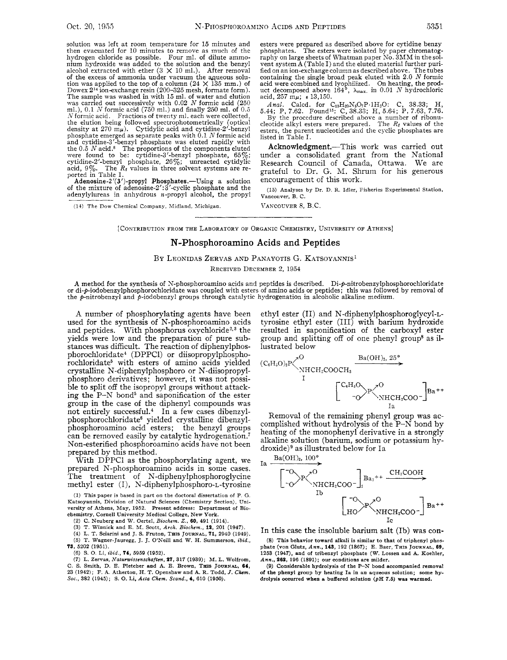solution was left at room temperature for 15 minutes and then evacuated for 10 minutes to remove as much of the hydrogen chloride as possible. Four ml. of dilute ammohium hydroxide was added to the solution and the benzyl alcohol extracted with ether  $(3 \times 10 \text{ ml.})$ . After removal of the excess of ammonia under vacuum the aqueous solution was applied to the top of a column ( $24 \times 135$  mm.) of Dowex  $2^{14}$  ion-exchange resin ( $200-325$  mesh, formate form). The sample was washed in with 15 ml. of water and elution was carried out successively with 0.02 *<sup>N</sup>*formic acid (250 ml.), 0.1 *N* formic acid (750 ml.) and finally 250 ml. of 0.5 *.V* formic acid. Fractions of twenty ml. each were collected, the elution being followed spectrophotometrically (optical density at 270 *mp).* Cytidylic acid and cytidine-2'-benzyl phosphate emerged as separate peaks with 0.1 *iV* formic acid and cytidine-3'-benzyl phosphate was eluted rapidly with the 0.5 *N* acid.8 The proportions of the components eluted were found to be: cytidine-3'-benzyl phosphate, 65%; cytidine-2'-benzyl phosphate, 26%; unreacted cytidylic acid, 9%. The *R<sub>I</sub>* values in three solvent systems are reported in Table I.

Adenosine-2'(3')-propyl Phosphates.—Using a solution of the mixture of adenosine-2':3'-cyclic phosphate and the adenylylureas in anhydrous  $n$ -propyl alcohol, the propyl

(11) **The Dow Chemical Company, Midland, Michigan.** 

esters were prepared as described above for cytidine benzy phosphates. The esters were isolated by paper chromatog- $\stackrel{\text{\scriptsize{\textsf{r}}}}{\text{\scriptsize{\textsf{r}}}}$  aphy on large sheets of Whatman paper  $\stackrel{\text{\scriptsize{\textsf{No}}}}{\text{\scriptsize{\textsf{No}}}}$ .  $\stackrel{\text{\scriptsize{\textsf{3}}}{}{\text{\scriptsize{\textsf{MM}}}}$  in the solvent system **A** (Table I) and the eluted material further purified on an ion-exchange column as described above. The tubes containing the single broad peak eluted with **2.0** *N* formic acid were combined and lyophilized. On heating, the product decomposed above  $164^{\circ}$ ,  $\lambda_{\text{max}}$  in 0.01 *N* hydrochloric acid, 257 *mp;* **e** 13,150.

*Anal.* Calcd. for  $C_{13}H_{20}N_3O_7P \cdot 1H_2O$ : C, 38.33; H, 5.44; P, 7.62. Found<sup>15</sup>: C, 38.33; H, 5.64; P, 7.63, 7.76. By the procedure described above a number of ribonu-cleotide alkyl esters were prepared. The  $R_f$  va

esters, the parent nucleotides and the cyclic phosphates are listed in Table I.

Acknowledgment.-This work was carried out under a consolidated grant from the National Research Council of Canada, Ottawa. We are grateful to Dr. G. M. Shrum for his generous encouragement of this work.

**(15) Analyses by Dr.** D. **R. Idler, Fisheries Experimental Station, Vancouver, B. C.** 

VANCOUVER 8, B.C.

[CONTRIBUTION FROM THE LABORATORY OF ORGANIC CHEMISTRY, UNIVERSITY OF ATHENS]

## **N-Phosphoroamino Acids and Peptides**

BY LEONIDAS ZERVAS AND PANAYOTIS G. KATSOYANNIS'

RECEIVED DECEMBER *2,* 1954

A method for the synthesis of N-phosphoroamino acids and peptides is described. Di-p-nitrobenzylphosphorochloridate<br>or di-p-iodobenzylphosphorochloridate was coupled with esters of amino acids or peptides; this was followe the p-nitrobenzyl and p-iodobenzyl groups through catalytic hydrogenation in alcoholic alkaline medium.

**A** number of phosphorylating agents have been used for the synthesis of N-phosphoroamino acids and peptides. With phosphorus oxychloride<sup>2,3</sup> the yields were low and the preparation of pure substances was difficult. The reaction of diphenylphosphorochloridate<sup>4</sup> (DPPCI) or diisopropylphosphorochloridate<sup>5</sup> with esters of amino acids yielded crystalline N-diphenylphosphoro or N-diisopropylphosphoro derivatives; however, it was not possible to split off the isopropyl groups without attacking the  $P-N$  bond<sup>5</sup> and saponification of the ester group in the case of the diphenyl compounds was not entirely successful.<sup>4</sup> In a few cases dibenzylphosphorochloridate<sup>6</sup> yielded crystalline dibenzylphosphoroamino acid esters; the benzyl groups can be removed easily by catalytic hydrogenation.<sup>7</sup> Non-esterified phosphoroamino acids have not been prepared by this method.

With DPPCl as the phosphorylating agent, we prepared N-phosphoroamino acids in some cases. The treatment of N-diphenylphosphoroglycine methyl ester (I), **N-diphenylphosphoro-L-tyrosine** 

(1) **This paper is based in part** on **the doctoral dissertation** of **P.** *G.*  **Katsoyannis, Division** of **Natural Sciences (Chemistry Section), University of Athens, May, 1952. Present address: Department of** Bio**chemistry, Cornel1 University Medical College, New York.** 

**(2) C. Neuherg and W. Oertel,** *Biochcm. Z.,* **60, 491 (1914). (3) T. Winnick and** E. **M. Scott,** *Arch. Biochem.,* **12, 201 (1947).** 

**(4) L.** T. **Sciarini and J.** S. **Fruton, THIS JOURNAL, 71, 2940 (1949). (5) T. Wagner-Jauregg, J. J. O'Neill and W.** H. **Summerson,** *ibid.,*  **73, 5202 (1951).** 

*(6)* S. **0. Li,** *ibid.,* **74, 5959 (1952).** 

**(7) L. Zervas, Nalurwisscnschaften, 27, 317 (1939); M. L. Wolfrom, C.** S. **Smith,** D. E. **Pletcher and A. E. Brown, THIS JOURNAL, 64, 23 (1942); F. A. Atherton, H. T. Openshaw and A. R. Todd,** *J. Chcm. Soc..* **382 (1945); S. 0. Li,** *Acta Chcm. Scand.,* **4, 610 (1950).** 

ethyl ester (11) and **N-diphenylphosphoroglycyl-L**tyrosine ethyl ester (III) with barium hydroxide resulted in saponification of the carboxyl ester group and splitting off of one phenyl group8 as illustrated below



Removal of the remaining phenyl group was accomplished without hydrolysis of the  $P-N$  bond by heating of the monophenyl derivative in a strongly alkaline solution (barium, sodium or potassium hydroxide)<sup>9</sup> as illustrated below for Ia



In this case the insoluble barium salt (Ib) was con-

**(8) This behavior toward alkali is similar to that** of **triphenyl phos**phate (von Glutz, *Ann.*, **143**, 192 (1867); E. Baer, THIS JOURNAL, 69, **1253** (1947), and of tribenzyl phosphate (W. Lossen and A. Koehler, *Ann.,* **26P, I96 (1891); our conditions are milder.** 

**(9) Considerable hydrolysis of the P-N bond accompanied removal of the phenyl group by heating Ia in an aqueous solution; some hydrolysis occurred when a buffered solution** *(pH* **7.5) was warmed.**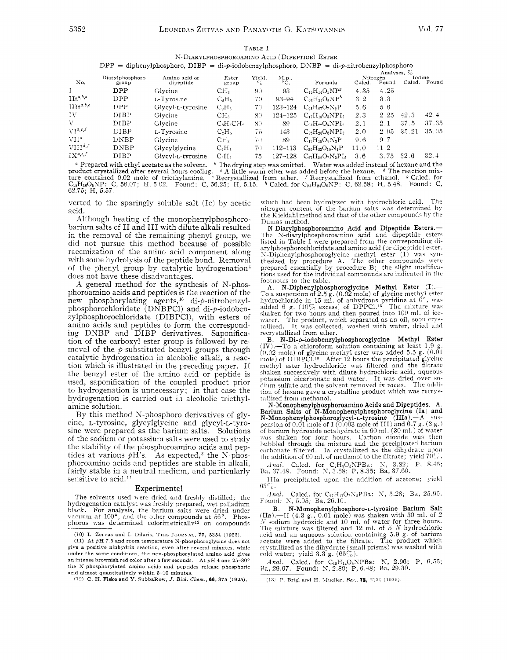TABLE I N-DIARYLPHOSPHOROAMINO ACID (DIPEPTIDE) ESTER  $DPP = diphenylphosphoro, DIBP = di-p-iodobenzylphosphoro, DNBP = di-p-nitrobenzylphosphoro$ 

| No.                    |                          |                            |                 |                              |                        |                          | Analyses, % |                   |                  |       |
|------------------------|--------------------------|----------------------------|-----------------|------------------------------|------------------------|--------------------------|-------------|-------------------|------------------|-------|
|                        | Diarylphosphoro<br>group | Amino acid or<br>dipeptide | Ester<br>group  | Yield,<br>$c_{\tilde{\rho}}$ | M.p.,<br>$^{\circ}$ C. | Formula                  | Calcd.      | Nitrogen<br>Found | Iodine<br>Calcd. | Found |
|                        | DPP                      | Glycine                    | CH <sub>3</sub> | 90                           | 93                     | $C_{15}H_{16}O_5NP^g$    | 4.35        | 4.25              |                  |       |
| $\text{III}^{a,b,e}$   | DPP                      | L-Tyrosine                 | $C_2H_5$        | 70                           | $93 - 94$              | $C_{23}H_{24}O_6NP^h$    | 3.2         | 3.3               |                  |       |
| $IIIt^{a,b,e}$         | DPP                      | Glycyl-L-tyrosine          | $C_2H_3$        | 70                           | $123 - 124$            | $C_{25}H_{27}O_7N_2P$    | 5.6         | 5.6               |                  |       |
| ΙV                     | DIBP                     | Glycine                    | CH <sub>3</sub> | 80                           | 124–125                | $C_{17}H_{18}O_5NPI_2$   | 2.3         | 2.25              | 42.3             | 42.4  |
| V                      | DIBP                     | Glycine                    | $C_6H_3CH_2$    | 80                           | 89                     | $C_{23}H_{22}O_5NP1_2$   | 2.1         | 2.1               | 37.5             | 37.35 |
| $V1^{a,c,f}$           | DIBP                     | L-Tyrosine                 | $C_2H_5$        | 75                           | 143                    | $C_{25}H_{26}O_6NPI_2$   | 2.0         | 2.05              | 35.21            | 35.05 |
| VI1 <sup>d</sup>       | DNBP                     | Glycine                    | CH <sub>3</sub> | 70                           | 89                     | $C_{17}H_{18}O_9N_3P$    | 9.6         | 9.7               |                  |       |
| $VIII^{d,f}$           | <b>DNBP</b>              | Glycylglycine              | $C_2H_5$        | 70                           | 112–113                | $C_{20}H_{23}O_{10}N_4P$ | 11.0        | 11.2              |                  |       |
| $\mathbb{I} X^{a,c,f}$ | DIBP                     | Glycyl-L-tyrosine          | $C_2H_5$        | 75                           | $127 - 128$            | $C_{27}H_{29}O_7N_2PI_2$ | 3.6         | 3.75              | 32.6             | 32.4  |

<sup>a</sup> Prepared with ethyl acetate as the solvent. <sup>b</sup> The drying step was omitted. Water was added instead of hexane and the product crystallized after several hours cooling.  $\epsilon$  A little warm ether was added before the hexane. 4 The reaction mix-<br>ture contained 0.02 mole of triethylamine.  $\epsilon$  A little warm ether was added before the hexane.  $62.75; H, 5.57$ 

verted to the sparingly soluble salt (Ic) by acetic acid.

Although heating of the monophenylphosphorobarium salts of II and III with dilute alkali resulted in the removal of the remaining phenyl group, we did not pursue this method because of possible racemization of the amino acid component along with some hydrolysis of the peptide bond. Removal of the phenyl group by catalytic hydrogenation<sup>4</sup> does not have these disadvantages.

A general method for the synthesis of N-phosphoroamino acids and peptides is the reaction of the new phosphorylating agents,<sup>10</sup> di-p-nitrobenzylphosphorochloridate (DNBPCl) and di-p-iodobenzylphosphorochloridate (DIBPCI), with esters of amino acids and peptides to form the corresponding DNBP and DIBP derivatives. Saponification of the carboxyl ester group is followed by removal of the  $p$ -substituted benzyl groups through catalytic hydrogenation in alcoholic alkali, a reaction which is illustrated in the preceding paper. If the benzyl ester of the amino acid or peptide is used, saponification of the coupled product prior to hydrogenation is unnecessary; in that case the hydrogenation is carried out in alcoholic triethylamine solution.

By this method N-phosphoro derivatives of glycine, L-tyrosine, glycylglycine and glycyl-L-tyrosine were prepared as the barium salts. Solutions of the sodium or potassium salts were used to study the stability of the phosphoroamino acids and peptides at various  $\phi$ H's. As expected,<sup>3</sup> the N-phosphoroamino acids and peptides are stable in alkali, fairly stable in a neutral medium, and particularly sensitive to acid.<sup>11</sup>

## Experimental

The solvents used were dried and freshly distilled; the hydrogenation catalyst was freshly prepared, wet palladium<br>black. For analysis, the barium salts were dried under<br>vacuum at  $100^{\circ}$ , and the other compounds at  $56^{\circ}$ . Phosphorus was determined colorimetrically<sup>12</sup> on compounds

(10) L. Zervas and I. Dilaris, THIS JOURNAL, 77, 5354 (1955).

(11) At  $pH$  7.5 and room temperature N-phosphoroglycine does not give a positive ninhydrin reaction, even after several minutes, while under the same conditions, the non-phosphorylated amino acid gives an intense brownish red color after a few seconds. At  $pH$  4 and 25-30° the N-phosphorylated amino acids and peptides release phosphoric acid almost quantitatively within 5-10 minutes.<br>(12) C. H. Fiske and Y. SubbaRow, J. Biol. Chem., 66, 375 (1925).

which had been hydrolyzed with hydrochloric acid. The nitrogen content of the barium salts was determined by the Kjeldahl method and that of the other compounds by the Dumas method.

N-Diarylphosphoroamino Acid and Dipeptide Esters.-The N-diarylphosphoroamino acid and dipeptide esters listed in Table I were prepared from the corresponding diarylphosphorochloridate and amino acid (or dipeptide) ester. N-Diphenylphosphoroglycine methyl ester (I) was synthesized by procedure A. The other compounds were prepared essentially by procedure B; the slight modifica-<br>tions used for the individual compounds are indicated in the footnotes to the table.

A. N-Diphenylphosphoroglycine Methyl Ester (I)-To a suspension of 2.5 g. (0.02 mole) of glycine methyl ester<br>hydrochloride in 15 ml, of anhydrous pyridine at  $0^{\circ}$ , was<br>added 6 g. (10% excess) of DPPCl.<sup>13</sup> The mixture was shaken for two hours and then poured into 100 ml. of icewater. The product, which separated as an oil, soon crystallized. It was collected, washed with water, dried and It was collected, washed with water, dried and recrystallized from ether.

B. N-Di-p-iodobenzylphosphoroglycine Methyl Ester **EXECUTE:** Next, The a chloroform solution containing at least 1.9 g.<br>(IV).—To a chloroform solution containing at least 1.9 g.<br>(0.02 mole) of plycine methyl ester was added 5.5 g. (0.01 mole) of DIBPC1.<sup>10</sup> After 12 hour incurs in successively with dilute hydrochloric acid, aqueous<br>potassium bicarbonate and water. It was dried over sodium sulfate and the solvent removed in vacuo. The addition of hexane gave a crystalline product which was recrystallized from methanol.

N-Monophenylphosphoroamino Acids and Dipeptides. A Farium Salts of N-Monophenylphosphoroglycine (Ia) and<br>N-Monophenylphosphoroglycine (Ia).—A suspension of 0.01 mole of I (0.003 mole of III) and 6.7  $g_s$  (3  $g_s$ ) of barium hydroxide octahydrate in 60 ml. (30 ml.) of water was shaken for four hours. Carbon dioxide was then bubbled through the mixture and the precipitated barium carbonate filtered. Ia crystallized as the dihydrate upon the addition of  $60$  ml. of methanol to the filtrate; yield  $70\%$ .

Anal. Calcd. for  $C_5H_3O_5NPBa$ : N, 3.82; P, 8.46; Ba, 37.48. Found: N, 3.68; P, 8.35; Ba, 37.60.

IIIa precipitated upon the addition of acetone; yield 63%.

Anal. Calc<br/>d. for  $\mathrm{C_{17}H_{17}O_7N_2PBa:}$  N, 5.28; Ba, 25.95. Found: N, 5.05; Ba, 26.10.

N-Monophenylphosphoro-L-tyrosine Barium Salt  $\mathbf{B}$ . (IIa).—II (4.3 g., 0.01 mole) was shaken with 30 ml. of 2<br>N sodium hydroxide and 10 ml. of water for three hours. The mixture was filtered and 12 ml. of 5  $N$  hydrochloric acid and an aqueous solution containing 5.9 g. of barium acetate were added to the filtrate. The product which crystallized as the dihydrate (small prisms) was washed with<br>cold water; yield  $3.3$  g.  $(65\%)$ .

Anal. Calcd. for C<sub>15</sub>H<sub>14</sub>O<sub>6</sub>NPBa: N, 2.96; P, 6.55; Ba, 29.07. Found: N, 2.80; P, 6.48; Ba, 29.30.

(13) P. Brigl and H. Mueller, Ber., 72, 2121 (1939).